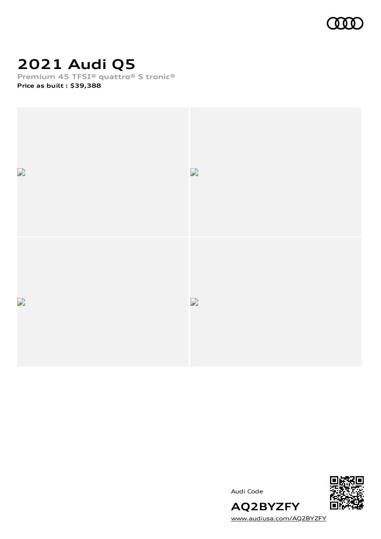

# **2021 Audi Q5**

**Premium 45 TFSI® quattro® S tronic®**

**Price as built [:](#page-8-0) \$39,388**



Audi Code



[www.audiusa.com/AQ2BYZFY](https://www.audiusa.com/AQ2BYZFY)

**AQ2BYZFY**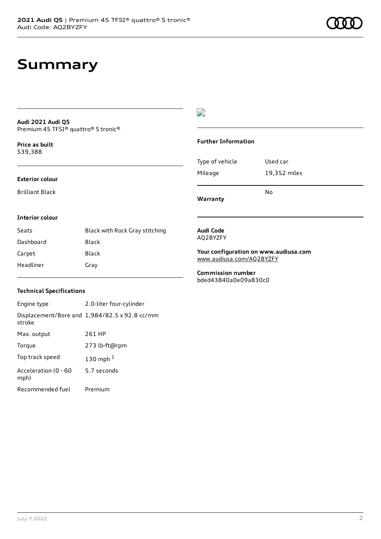### **Summary**

#### **Audi 2021 Audi Q5** Premium 45 TFSI® quattro® S tronic®

**Price as buil[t](#page-8-0)** \$39,388

#### **Exterior colour**

Brilliant Black

#### $\overline{\phantom{a}}$

#### **Further Information**

|                 | N٥           |
|-----------------|--------------|
| Mileage         | 19,352 miles |
| Type of vehicle | Used car     |

**Warranty**

#### **Interior colour**

| Seats     | Black with Rock Gray stitching |
|-----------|--------------------------------|
| Dashboard | Black                          |
| Carpet    | Black                          |
| Headliner | Gray                           |

#### **Audi Code** AQ2BYZFY

**Your configuration on www.audiusa.com** [www.audiusa.com/AQ2BYZFY](https://www.audiusa.com/AQ2BYZFY)

**Commission number** bded43840a0e09a830c0

#### **Technical Specifications**

| Engine type                  | 2.0-liter four-cylinder                       |
|------------------------------|-----------------------------------------------|
| stroke                       | Displacement/Bore and 1,984/82.5 x 92.8 cc/mm |
| Max. output                  | 261 HP                                        |
| Torque                       | 273 lb-ft@rpm                                 |
| Top track speed              | 130 mph $1$                                   |
| Acceleration (0 - 60<br>mph) | 5.7 seconds                                   |
| Recommended fuel             | Premium                                       |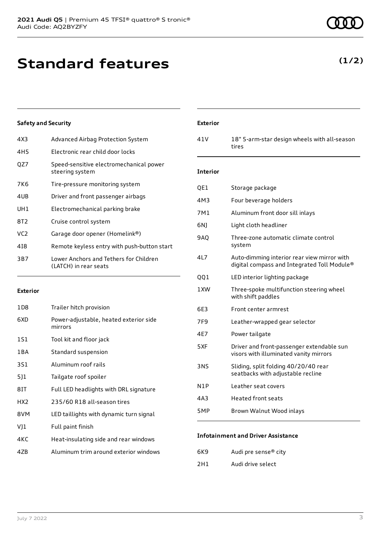### **Standard features**

### **Safety and Security**

| 4X3             | Advanced Airbag Protection System                               |
|-----------------|-----------------------------------------------------------------|
| 4H <sub>5</sub> | Electronic rear child door locks                                |
| OZ7             | Speed-sensitive electromechanical power<br>steering system      |
| 7K6             | Tire-pressure monitoring system                                 |
| 4UB             | Driver and front passenger airbags                              |
| UH1             | Electromechanical parking brake                                 |
| 8T2             | Cruise control system                                           |
| VC <sub>2</sub> | Garage door opener (Homelink®)                                  |
| 418             | Remote keyless entry with push-button start                     |
| 3B7             | Lower Anchors and Tethers for Children<br>(LATCH) in rear seats |
|                 |                                                                 |

#### **Exterior**

| 1D8 | Trailer hitch provision                           |
|-----|---------------------------------------------------|
| 6XD | Power-adjustable, heated exterior side<br>mirrors |
| 1S1 | Tool kit and floor jack                           |
| 1BA | Standard suspension                               |
| 3S1 | Aluminum roof rails                               |
| 511 | Tailgate roof spoiler                             |
| 8IT | Full LED headlights with DRL signature            |
| HX2 | 235/60 R18 all-season tires                       |
| 8VM | LED taillights with dynamic turn signal           |
| VJ1 | Full paint finish                                 |
| 4KC | Heat-insulating side and rear windows             |
| 47B | Aluminum trim around exterior windows             |

#### **Exterior**

41V 18" 5-arm-star design wheels with all-season tires

#### **Interior**

| QE1        | Storage package                                                                            |
|------------|--------------------------------------------------------------------------------------------|
| 4M3        | Four beverage holders                                                                      |
| 7M1        | Aluminum front door sill inlays                                                            |
| 6N)        | Light cloth headliner                                                                      |
| <b>9AQ</b> | Three-zone automatic climate control<br>system                                             |
| 4L7        | Auto-dimming interior rear view mirror with<br>digital compass and Integrated Toll Module® |
| QQ1        | LED interior lighting package                                                              |
| 1XW        | Three-spoke multifunction steering wheel<br>with shift paddles                             |
| 6E3        | Front center armrest                                                                       |
| 7F9        | Leather-wrapped gear selector                                                              |
| 4E7        | Power tailgate                                                                             |
| 5XF        | Driver and front-passenger extendable sun<br>visors with illuminated vanity mirrors        |
| 3NS        | Sliding, split folding 40/20/40 rear<br>seatbacks with adjustable recline                  |
| N1P        | Leather seat covers                                                                        |
| 4A3        | <b>Heated front seats</b>                                                                  |
| 5MP        | Brown Walnut Wood inlays                                                                   |
|            |                                                                                            |

#### **Infotainment and Driver Assistance**

| 6K9 | Audi pre sense <sup>®</sup> city |
|-----|----------------------------------|
| 2H1 | Audi drive select                |

### **(1/2)**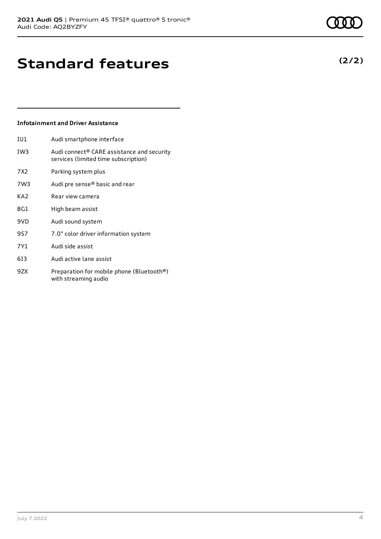## **Standard features**

#### **Infotainment and Driver Assistance**

- IU1 Audi smartphone interface IW3 Audi connect® CARE assistance and security services (limited time subscription)
- 7X2 Parking system plus
- 7W3 Audi pre sense® basic and rear
- KA2 Rear view camera
- 8G1 High beam assist
- 9VD Audi sound system
- 9S7 7.0" color driver information system
- 7Y1 Audi side assist
- 6I3 Audi active lane assist
- 9ZX Preparation for mobile phone (Bluetooth®) with streaming audio



### **(2/2)**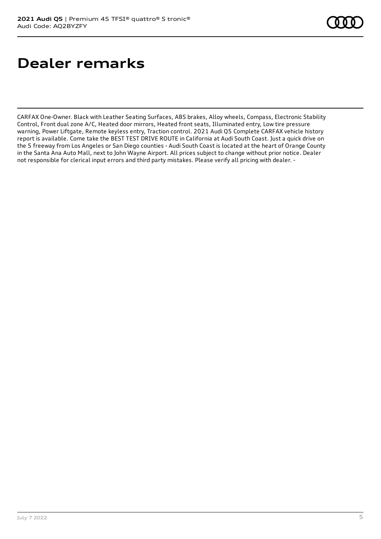## **Dealer remarks**

CARFAX One-Owner. Black with Leather Seating Surfaces, ABS brakes, Alloy wheels, Compass, Electronic Stability Control, Front dual zone A/C, Heated door mirrors, Heated front seats, Illuminated entry, Low tire pressure warning, Power Liftgate, Remote keyless entry, Traction control. 2021 Audi Q5 Complete CARFAX vehicle history report is available. Come take the BEST TEST DRIVE ROUTE in California at Audi South Coast. Just a quick drive on the 5 freeway from Los Angeles or San Diego counties - Audi South Coast is located at the heart of Orange County in the Santa Ana Auto Mall, next to John Wayne Airport. All prices subject to change without prior notice. Dealer not responsible for clerical input errors and third party mistakes. Please verify all pricing with dealer. -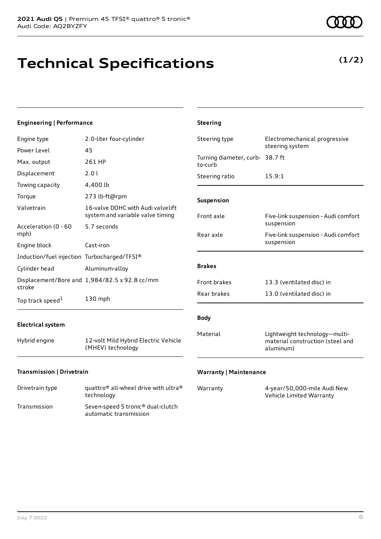# **Technical Specifications**

**(1/2)**

| <b>Engineering   Performance</b>            |                                                                       | <b>Steering</b>                            |                                                                                |
|---------------------------------------------|-----------------------------------------------------------------------|--------------------------------------------|--------------------------------------------------------------------------------|
| Engine type                                 | 2.0-liter four-cylinder                                               | Steering type                              | Electromechanical progressive                                                  |
| Power Level                                 | 45                                                                    |                                            | steering system                                                                |
| Max. output                                 | 261 HP                                                                | Turning diameter, curb- 38.7 ft<br>to-curb |                                                                                |
| Displacement                                | 2.0 l                                                                 | Steering ratio                             | 15.9:1                                                                         |
| Towing capacity                             | 4,400 lb                                                              |                                            |                                                                                |
| Torque                                      | 273 lb-ft@rpm                                                         | Suspension                                 |                                                                                |
| Valvetrain                                  | 16-valve DOHC with Audi valvelift<br>system and variable valve timing | Front axle                                 | Five-link suspension - Audi comfort                                            |
| Acceleration (0 - 60                        | 5.7 seconds                                                           |                                            | suspension                                                                     |
| mph)                                        |                                                                       | Rear axle                                  | Five-link suspension - Audi comfort<br>suspension                              |
| Engine block                                | Cast-iron                                                             |                                            |                                                                                |
| Induction/fuel injection Turbocharged/TFSI® |                                                                       |                                            |                                                                                |
| Cylinder head                               | Aluminum-alloy                                                        | <b>Brakes</b>                              |                                                                                |
| stroke                                      | Displacement/Bore and 1,984/82.5 x 92.8 cc/mm                         | Front brakes                               | 13.3 (ventilated disc) in                                                      |
| Top track speed <sup>1</sup>                | 130 mph                                                               | Rear brakes                                | 13.0 (ventilated disc) in                                                      |
| <b>Electrical system</b>                    |                                                                       | <b>Body</b>                                |                                                                                |
| Hybrid engine                               | 12-volt Mild Hybrid Electric Vehicle<br>(MHEV) technology             | Material                                   | Lightweight technology-multi-<br>material construction (steel and<br>aluminum) |
| Transmission   Drivetrain                   |                                                                       | <b>Warranty   Maintenance</b>              |                                                                                |

| Drivetrain type | quattro <sup>®</sup> all-wheel drive with ultra <sup>®</sup><br>technology |
|-----------------|----------------------------------------------------------------------------|
| Transmission    | Seven-speed S tronic <sup>®</sup> dual-clutch<br>automatic transmission    |

| Warranty | 4-year/50,000-mile Audi New |
|----------|-----------------------------|
|          | Vehicle Limited Warranty    |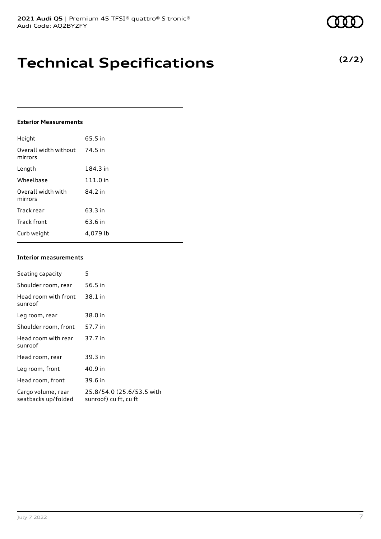### **Technical Specifications**

#### **Exterior Measurements**

| Height                           | 65.5 in  |
|----------------------------------|----------|
| Overall width without<br>mirrors | 74.5 in  |
| Length                           | 184.3 in |
| Wheelbase                        | 111.0 in |
| Overall width with<br>mirrors    | 84.2 in  |
| Track rear                       | 63.3 in  |
| Track front                      | 63.6 in  |
| Curb weight                      | 4,079 lb |

#### **Interior measurements**

| Seating capacity                          | 5                                                  |
|-------------------------------------------|----------------------------------------------------|
| Shoulder room, rear                       | 56.5 in                                            |
| Head room with front<br>sunroof           | 38.1 in                                            |
| Leg room, rear                            | 38.0 in                                            |
| Shoulder room, front                      | 57.7 in                                            |
| Head room with rear<br>sunroof            | 37.7 in                                            |
| Head room, rear                           | 39.3 in                                            |
| Leg room, front                           | 40.9 in                                            |
| Head room, front                          | 39.6 in                                            |
| Cargo volume, rear<br>seatbacks up/folded | 25.8/54.0 (25.6/53.5 with<br>sunroof) cu ft, cu ft |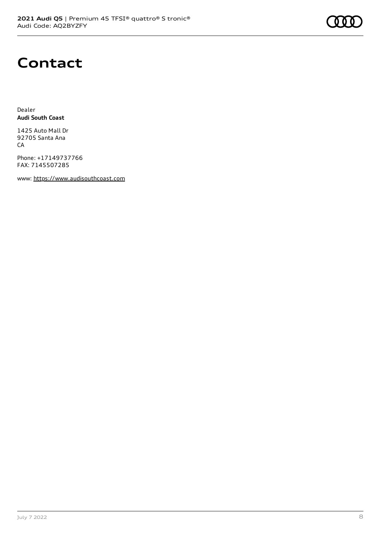

### **Contact**

Dealer **Audi South Coast**

1425 Auto Mall Dr 92705 Santa Ana CA

Phone: +17149737766 FAX: 7145507285

www: [https://www.audisouthcoast.com](https://www.audisouthcoast.com/)